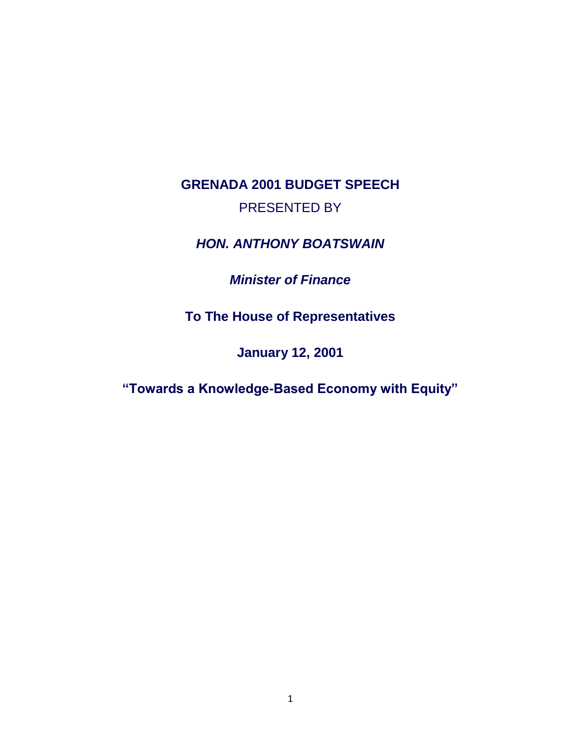# **GRENADA 2001 BUDGET SPEECH** PRESENTED BY

*HON. ANTHONY BOATSWAIN* 

## *Minister of Finance*

**To The House of Representatives** 

**January 12, 2001** 

**"Towards a Knowledge-Based Economy with Equity"**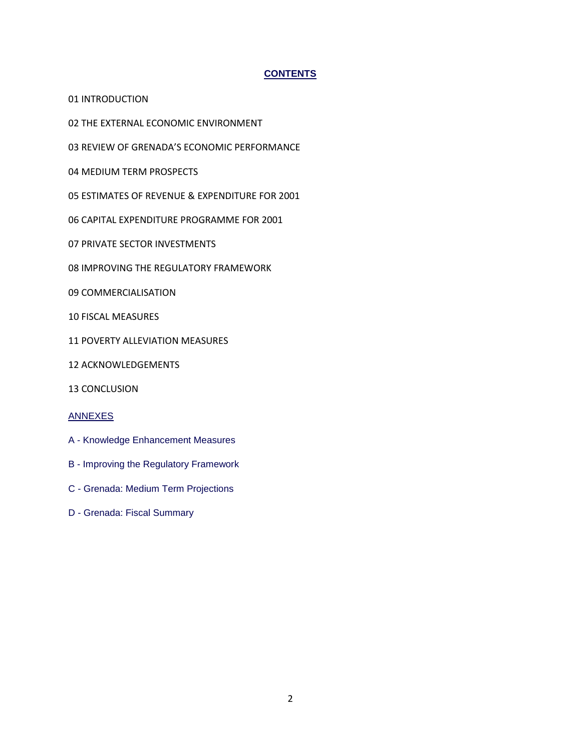## **CONTENTS**

01 INTRODUCTION

02 THE EXTERNAL ECONOMIC ENVIRONMENT

03 REVIEW OF GRENADA'S ECONOMIC PERFORMANCE

04 MEDIUM TERM PROSPECTS

- 05 ESTIMATES OF REVENUE & EXPENDITURE FOR 2001
- 06 CAPITAL EXPENDITURE PROGRAMME FOR 2001
- 07 PRIVATE SECTOR INVESTMENTS
- 08 IMPROVING THE REGULATORY FRAMEWORK
- 09 COMMERCIALISATION
- 10 FISCAL MEASURES
- 11 POVERTY ALLEVIATION MEASURES
- 12 ACKNOWLEDGEMENTS
- 13 CONCLUSION

#### ANNEXES

- A Knowledge Enhancement Measures
- B Improving the Regulatory Framework
- C Grenada: Medium Term Projections
- D Grenada: Fiscal Summary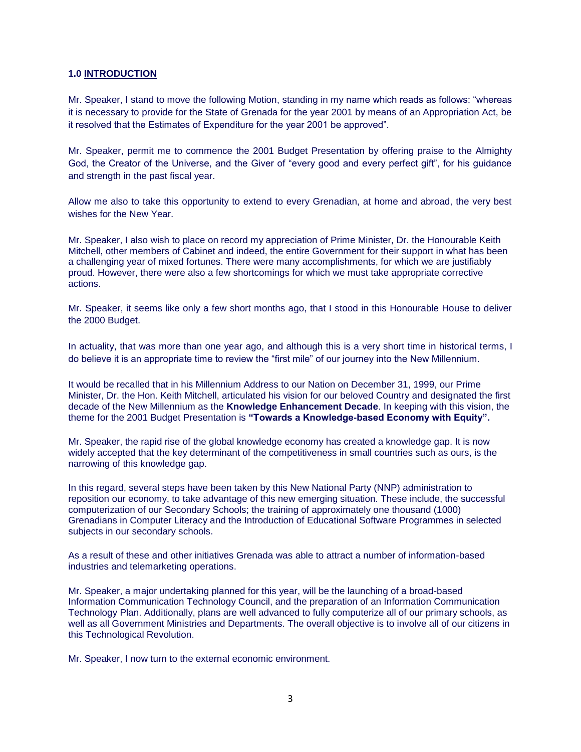#### **1.0 INTRODUCTION**

Mr. Speaker, I stand to move the following Motion, standing in my name which reads as follows: "whereas it is necessary to provide for the State of Grenada for the year 2001 by means of an Appropriation Act, be it resolved that the Estimates of Expenditure for the year 2001 be approved".

Mr. Speaker, permit me to commence the 2001 Budget Presentation by offering praise to the Almighty God, the Creator of the Universe, and the Giver of "every good and every perfect gift", for his guidance and strength in the past fiscal year.

Allow me also to take this opportunity to extend to every Grenadian, at home and abroad, the very best wishes for the New Year.

Mr. Speaker, I also wish to place on record my appreciation of Prime Minister, Dr. the Honourable Keith Mitchell, other members of Cabinet and indeed, the entire Government for their support in what has been a challenging year of mixed fortunes. There were many accomplishments, for which we are justifiably proud. However, there were also a few shortcomings for which we must take appropriate corrective actions.

Mr. Speaker, it seems like only a few short months ago, that I stood in this Honourable House to deliver the 2000 Budget.

In actuality, that was more than one year ago, and although this is a very short time in historical terms, I do believe it is an appropriate time to review the "first mile" of our journey into the New Millennium.

It would be recalled that in his Millennium Address to our Nation on December 31, 1999, our Prime Minister, Dr. the Hon. Keith Mitchell, articulated his vision for our beloved Country and designated the first decade of the New Millennium as the **Knowledge Enhancement Decade**. In keeping with this vision, the theme for the 2001 Budget Presentation is **"Towards a Knowledge-based Economy with Equity".**

Mr. Speaker, the rapid rise of the global knowledge economy has created a knowledge gap. It is now widely accepted that the key determinant of the competitiveness in small countries such as ours, is the narrowing of this knowledge gap.

In this regard, several steps have been taken by this New National Party (NNP) administration to reposition our economy, to take advantage of this new emerging situation. These include, the successful computerization of our Secondary Schools; the training of approximately one thousand (1000) Grenadians in Computer Literacy and the Introduction of Educational Software Programmes in selected subjects in our secondary schools.

As a result of these and other initiatives Grenada was able to attract a number of information-based industries and telemarketing operations.

Mr. Speaker, a major undertaking planned for this year, will be the launching of a broad-based Information Communication Technology Council, and the preparation of an Information Communication Technology Plan. Additionally, plans are well advanced to fully computerize all of our primary schools, as well as all Government Ministries and Departments. The overall objective is to involve all of our citizens in this Technological Revolution.

Mr. Speaker, I now turn to the external economic environment.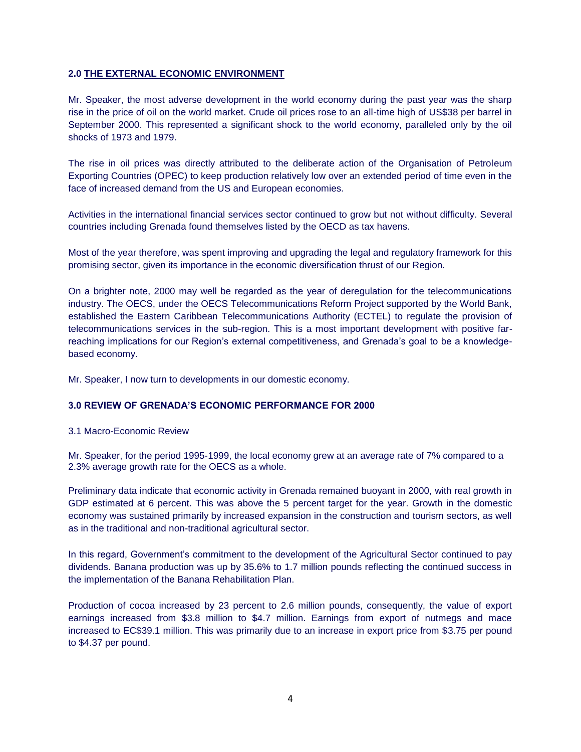## **2.0 THE EXTERNAL ECONOMIC ENVIRONMENT**

Mr. Speaker, the most adverse development in the world economy during the past year was the sharp rise in the price of oil on the world market. Crude oil prices rose to an all-time high of US\$38 per barrel in September 2000. This represented a significant shock to the world economy, paralleled only by the oil shocks of 1973 and 1979.

The rise in oil prices was directly attributed to the deliberate action of the Organisation of Petroleum Exporting Countries (OPEC) to keep production relatively low over an extended period of time even in the face of increased demand from the US and European economies.

Activities in the international financial services sector continued to grow but not without difficulty. Several countries including Grenada found themselves listed by the OECD as tax havens.

Most of the year therefore, was spent improving and upgrading the legal and regulatory framework for this promising sector, given its importance in the economic diversification thrust of our Region.

On a brighter note, 2000 may well be regarded as the year of deregulation for the telecommunications industry. The OECS, under the OECS Telecommunications Reform Project supported by the World Bank, established the Eastern Caribbean Telecommunications Authority (ECTEL) to regulate the provision of telecommunications services in the sub-region. This is a most important development with positive farreaching implications for our Region's external competitiveness, and Grenada's goal to be a knowledgebased economy.

Mr. Speaker, I now turn to developments in our domestic economy.

#### **3.0 REVIEW OF GRENADA'S ECONOMIC PERFORMANCE FOR 2000**

3.1 Macro-Economic Review

Mr. Speaker, for the period 1995-1999, the local economy grew at an average rate of 7% compared to a 2.3% average growth rate for the OECS as a whole.

Preliminary data indicate that economic activity in Grenada remained buoyant in 2000, with real growth in GDP estimated at 6 percent. This was above the 5 percent target for the year. Growth in the domestic economy was sustained primarily by increased expansion in the construction and tourism sectors, as well as in the traditional and non-traditional agricultural sector.

In this regard, Government's commitment to the development of the Agricultural Sector continued to pay dividends. Banana production was up by 35.6% to 1.7 million pounds reflecting the continued success in the implementation of the Banana Rehabilitation Plan.

Production of cocoa increased by 23 percent to 2.6 million pounds, consequently, the value of export earnings increased from \$3.8 million to \$4.7 million. Earnings from export of nutmegs and mace increased to EC\$39.1 million. This was primarily due to an increase in export price from \$3.75 per pound to \$4.37 per pound.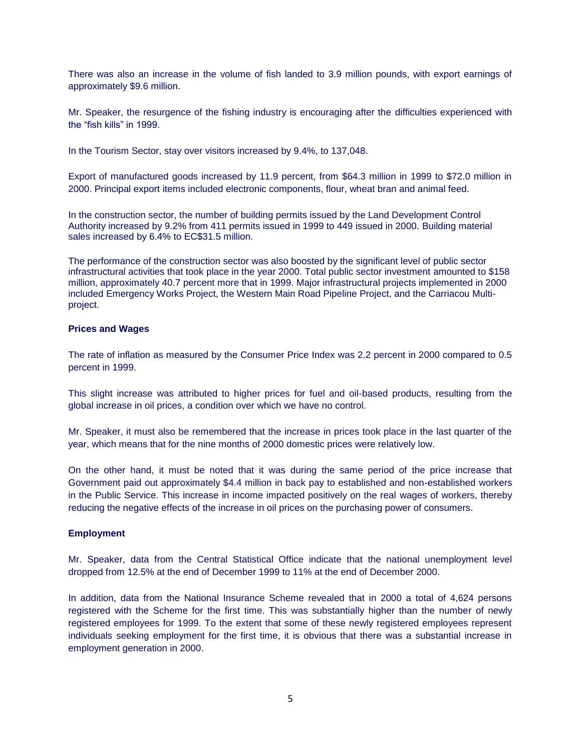There was also an increase in the volume of fish landed to 3.9 million pounds, with export earnings of approximately \$9.6 million.

Mr. Speaker, the resurgence of the fishing industry is encouraging after the difficulties experienced with the "fish kills" in 1999.

In the Tourism Sector, stay over visitors increased by 9.4%, to 137,048.

Export of manufactured goods increased by 11.9 percent, from \$64.3 million in 1999 to \$72.0 million in 2000. Principal export items included electronic components, flour, wheat bran and animal feed.

In the construction sector, the number of building permits issued by the Land Development Control Authority increased by 9.2% from 411 permits issued in 1999 to 449 issued in 2000. Building material sales increased by 6.4% to EC\$31.5 million.

The performance of the construction sector was also boosted by the significant level of public sector infrastructural activities that took place in the year 2000. Total public sector investment amounted to \$158 million, approximately 40.7 percent more that in 1999. Major infrastructural projects implemented in 2000 included Emergency Works Project, the Western Main Road Pipeline Project, and the Carriacou Multiproject.

#### **Prices and Wages**

The rate of inflation as measured by the Consumer Price Index was 2.2 percent in 2000 compared to 0.5 percent in 1999.

This slight increase was attributed to higher prices for fuel and oil-based products, resulting from the global increase in oil prices, a condition over which we have no control.

Mr. Speaker, it must also be remembered that the increase in prices took place in the last quarter of the year, which means that for the nine months of 2000 domestic prices were relatively low.

On the other hand, it must be noted that it was during the same period of the price increase that Government paid out approximately \$4.4 million in back pay to established and non-established workers in the Public Service. This increase in income impacted positively on the real wages of workers, thereby reducing the negative effects of the increase in oil prices on the purchasing power of consumers.

#### **Employment**

Mr. Speaker, data from the Central Statistical Office indicate that the national unemployment level dropped from 12.5% at the end of December 1999 to 11% at the end of December 2000.

In addition, data from the National Insurance Scheme revealed that in 2000 a total of 4,624 persons registered with the Scheme for the first time. This was substantially higher than the number of newly registered employees for 1999. To the extent that some of these newly registered employees represent individuals seeking employment for the first time, it is obvious that there was a substantial increase in employment generation in 2000.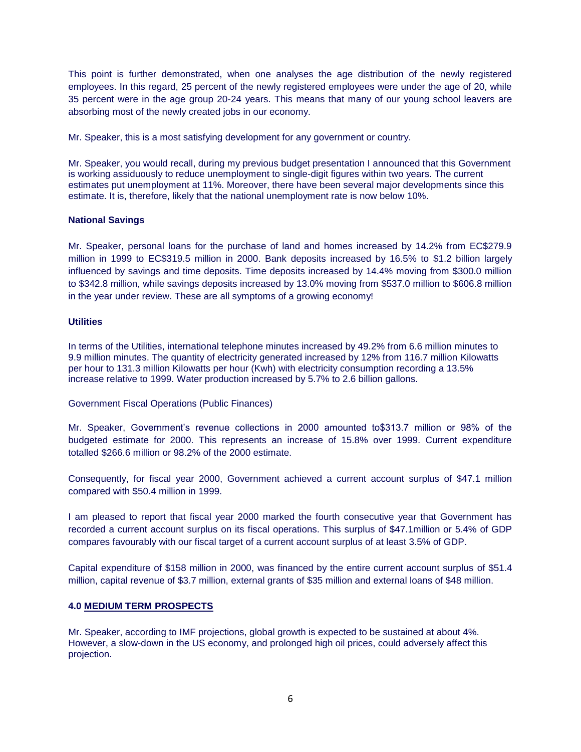This point is further demonstrated, when one analyses the age distribution of the newly registered employees. In this regard, 25 percent of the newly registered employees were under the age of 20, while 35 percent were in the age group 20-24 years. This means that many of our young school leavers are absorbing most of the newly created jobs in our economy.

Mr. Speaker, this is a most satisfying development for any government or country.

Mr. Speaker, you would recall, during my previous budget presentation I announced that this Government is working assiduously to reduce unemployment to single-digit figures within two years. The current estimates put unemployment at 11%. Moreover, there have been several major developments since this estimate. It is, therefore, likely that the national unemployment rate is now below 10%.

## **National Savings**

Mr. Speaker, personal loans for the purchase of land and homes increased by 14.2% from EC\$279.9 million in 1999 to EC\$319.5 million in 2000. Bank deposits increased by 16.5% to \$1.2 billion largely influenced by savings and time deposits. Time deposits increased by 14.4% moving from \$300.0 million to \$342.8 million, while savings deposits increased by 13.0% moving from \$537.0 million to \$606.8 million in the year under review. These are all symptoms of a growing economy!

## **Utilities**

In terms of the Utilities, international telephone minutes increased by 49.2% from 6.6 million minutes to 9.9 million minutes. The quantity of electricity generated increased by 12% from 116.7 million Kilowatts per hour to 131.3 million Kilowatts per hour (Kwh) with electricity consumption recording a 13.5% increase relative to 1999. Water production increased by 5.7% to 2.6 billion gallons.

Government Fiscal Operations (Public Finances)

Mr. Speaker, Government's revenue collections in 2000 amounted to\$313.7 million or 98% of the budgeted estimate for 2000. This represents an increase of 15.8% over 1999. Current expenditure totalled \$266.6 million or 98.2% of the 2000 estimate.

Consequently, for fiscal year 2000, Government achieved a current account surplus of \$47.1 million compared with \$50.4 million in 1999.

I am pleased to report that fiscal year 2000 marked the fourth consecutive year that Government has recorded a current account surplus on its fiscal operations. This surplus of \$47.1million or 5.4% of GDP compares favourably with our fiscal target of a current account surplus of at least 3.5% of GDP.

Capital expenditure of \$158 million in 2000, was financed by the entire current account surplus of \$51.4 million, capital revenue of \$3.7 million, external grants of \$35 million and external loans of \$48 million.

## **4.0 MEDIUM TERM PROSPECTS**

Mr. Speaker, according to IMF projections, global growth is expected to be sustained at about 4%. However, a slow-down in the US economy, and prolonged high oil prices, could adversely affect this projection.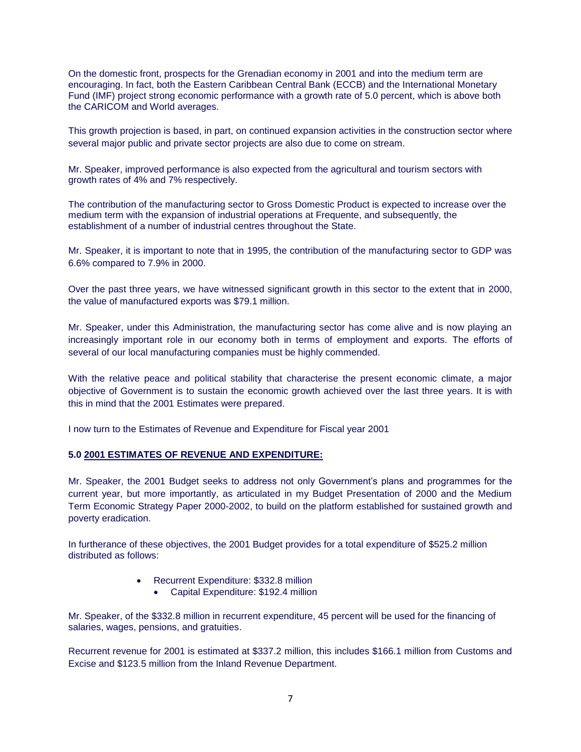On the domestic front, prospects for the Grenadian economy in 2001 and into the medium term are encouraging. In fact, both the Eastern Caribbean Central Bank (ECCB) and the International Monetary Fund (IMF) project strong economic performance with a growth rate of 5.0 percent, which is above both the CARICOM and World averages.

This growth projection is based, in part, on continued expansion activities in the construction sector where several major public and private sector projects are also due to come on stream.

Mr. Speaker, improved performance is also expected from the agricultural and tourism sectors with growth rates of 4% and 7% respectively.

The contribution of the manufacturing sector to Gross Domestic Product is expected to increase over the medium term with the expansion of industrial operations at Frequente, and subsequently, the establishment of a number of industrial centres throughout the State.

Mr. Speaker, it is important to note that in 1995, the contribution of the manufacturing sector to GDP was 6.6% compared to 7.9% in 2000.

Over the past three years, we have witnessed significant growth in this sector to the extent that in 2000, the value of manufactured exports was \$79.1 million.

Mr. Speaker, under this Administration, the manufacturing sector has come alive and is now playing an increasingly important role in our economy both in terms of employment and exports. The efforts of several of our local manufacturing companies must be highly commended.

With the relative peace and political stability that characterise the present economic climate, a major objective of Government is to sustain the economic growth achieved over the last three years. It is with this in mind that the 2001 Estimates were prepared.

I now turn to the Estimates of Revenue and Expenditure for Fiscal year 2001

### **5.0 2001 ESTIMATES OF REVENUE AND EXPENDITURE:**

Mr. Speaker, the 2001 Budget seeks to address not only Government's plans and programmes for the current year, but more importantly, as articulated in my Budget Presentation of 2000 and the Medium Term Economic Strategy Paper 2000-2002, to build on the platform established for sustained growth and poverty eradication.

In furtherance of these objectives, the 2001 Budget provides for a total expenditure of \$525.2 million distributed as follows:

- Recurrent Expenditure: \$332.8 million
	- Capital Expenditure: \$192.4 million

Mr. Speaker, of the \$332.8 million in recurrent expenditure, 45 percent will be used for the financing of salaries, wages, pensions, and gratuities.

Recurrent revenue for 2001 is estimated at \$337.2 million, this includes \$166.1 million from Customs and Excise and \$123.5 million from the Inland Revenue Department.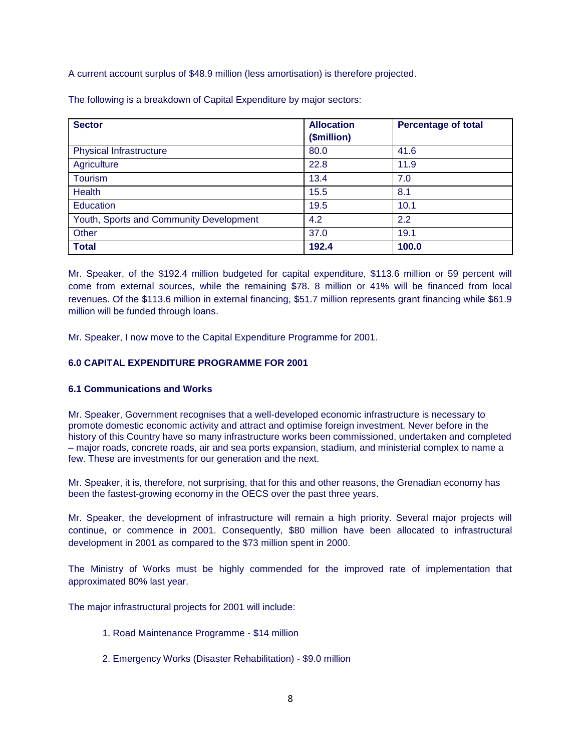A current account surplus of \$48.9 million (less amortisation) is therefore projected.

The following is a breakdown of Capital Expenditure by major sectors:

| <b>Sector</b>                           | <b>Allocation</b> | <b>Percentage of total</b> |
|-----------------------------------------|-------------------|----------------------------|
|                                         | (\$million)       |                            |
| <b>Physical Infrastructure</b>          | 80.0              | 41.6                       |
| Agriculture                             | 22.8              | 11.9                       |
| Tourism                                 | 13.4              | 7.0                        |
| <b>Health</b>                           | 15.5              | 8.1                        |
| Education                               | 19.5              | 10.1                       |
| Youth, Sports and Community Development | 4.2               | 2.2                        |
| Other                                   | 37.0              | 19.1                       |
| <b>Total</b>                            | 192.4             | 100.0                      |

Mr. Speaker, of the \$192.4 million budgeted for capital expenditure, \$113.6 million or 59 percent will come from external sources, while the remaining \$78. 8 million or 41% will be financed from local revenues. Of the \$113.6 million in external financing, \$51.7 million represents grant financing while \$61.9 million will be funded through loans.

Mr. Speaker, I now move to the Capital Expenditure Programme for 2001.

## **6.0 CAPITAL EXPENDITURE PROGRAMME FOR 2001**

## **6.1 Communications and Works**

Mr. Speaker, Government recognises that a well-developed economic infrastructure is necessary to promote domestic economic activity and attract and optimise foreign investment. Never before in the history of this Country have so many infrastructure works been commissioned, undertaken and completed – major roads, concrete roads, air and sea ports expansion, stadium, and ministerial complex to name a few. These are investments for our generation and the next.

Mr. Speaker, it is, therefore, not surprising, that for this and other reasons, the Grenadian economy has been the fastest-growing economy in the OECS over the past three years.

Mr. Speaker, the development of infrastructure will remain a high priority. Several major projects will continue, or commence in 2001. Consequently, \$80 million have been allocated to infrastructural development in 2001 as compared to the \$73 million spent in 2000.

The Ministry of Works must be highly commended for the improved rate of implementation that approximated 80% last year.

The major infrastructural projects for 2001 will include:

- 1. Road Maintenance Programme \$14 million
- 2. Emergency Works (Disaster Rehabilitation) \$9.0 million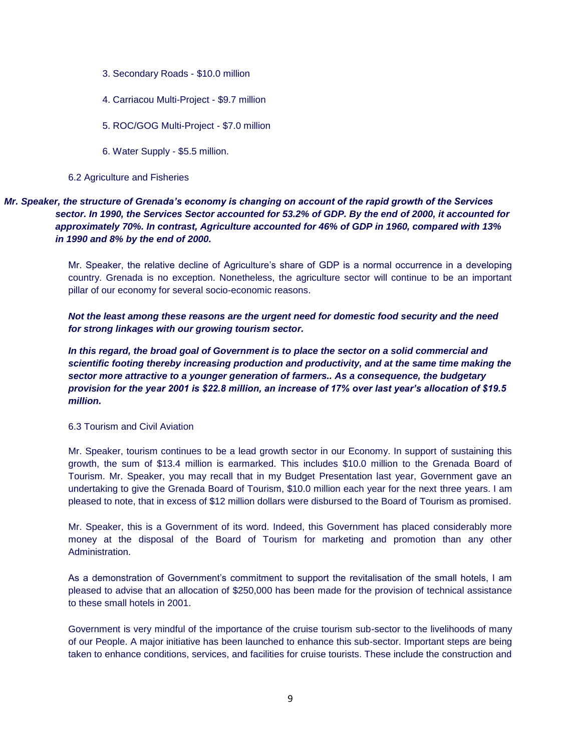- 3. Secondary Roads \$10.0 million
- 4. Carriacou Multi-Project \$9.7 million
- 5. ROC/GOG Multi-Project \$7.0 million
- 6. Water Supply \$5.5 million.

#### 6.2 Agriculture and Fisheries

## *Mr. Speaker, the structure of Grenada's economy is changing on account of the rapid growth of the Services sector. In 1990, the Services Sector accounted for 53.2% of GDP. By the end of 2000, it accounted for approximately 70%. In contrast, Agriculture accounted for 46% of GDP in 1960, compared with 13% in 1990 and 8% by the end of 2000.*

Mr. Speaker, the relative decline of Agriculture's share of GDP is a normal occurrence in a developing country. Grenada is no exception. Nonetheless, the agriculture sector will continue to be an important pillar of our economy for several socio-economic reasons.

*Not the least among these reasons are the urgent need for domestic food security and the need for strong linkages with our growing tourism sector.*

In this regard, the broad goal of Government is to place the sector on a solid commercial and *scientific footing thereby increasing production and productivity, and at the same time making the sector more attractive to a younger generation of farmers.. As a consequence, the budgetary provision for the year 2001 is \$22.8 million, an increase of 17% over last year's allocation of \$19.5 million.*

#### 6.3 Tourism and Civil Aviation

Mr. Speaker, tourism continues to be a lead growth sector in our Economy. In support of sustaining this growth, the sum of \$13.4 million is earmarked. This includes \$10.0 million to the Grenada Board of Tourism. Mr. Speaker, you may recall that in my Budget Presentation last year, Government gave an undertaking to give the Grenada Board of Tourism, \$10.0 million each year for the next three years. I am pleased to note, that in excess of \$12 million dollars were disbursed to the Board of Tourism as promised.

Mr. Speaker, this is a Government of its word. Indeed, this Government has placed considerably more money at the disposal of the Board of Tourism for marketing and promotion than any other Administration.

As a demonstration of Government's commitment to support the revitalisation of the small hotels, I am pleased to advise that an allocation of \$250,000 has been made for the provision of technical assistance to these small hotels in 2001.

Government is very mindful of the importance of the cruise tourism sub-sector to the livelihoods of many of our People. A major initiative has been launched to enhance this sub-sector. Important steps are being taken to enhance conditions, services, and facilities for cruise tourists. These include the construction and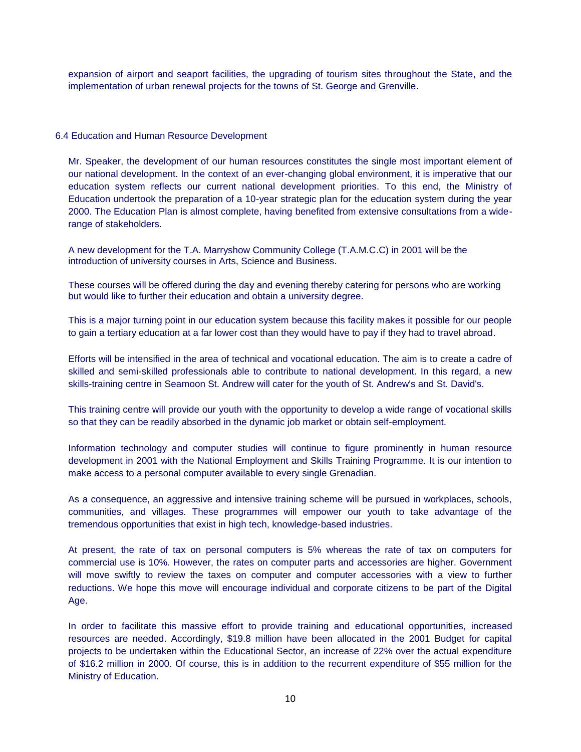expansion of airport and seaport facilities, the upgrading of tourism sites throughout the State, and the implementation of urban renewal projects for the towns of St. George and Grenville.

#### 6.4 Education and Human Resource Development

Mr. Speaker, the development of our human resources constitutes the single most important element of our national development. In the context of an ever-changing global environment, it is imperative that our education system reflects our current national development priorities. To this end, the Ministry of Education undertook the preparation of a 10-year strategic plan for the education system during the year 2000. The Education Plan is almost complete, having benefited from extensive consultations from a widerange of stakeholders.

A new development for the T.A. Marryshow Community College (T.A.M.C.C) in 2001 will be the introduction of university courses in Arts, Science and Business.

These courses will be offered during the day and evening thereby catering for persons who are working but would like to further their education and obtain a university degree.

This is a major turning point in our education system because this facility makes it possible for our people to gain a tertiary education at a far lower cost than they would have to pay if they had to travel abroad.

Efforts will be intensified in the area of technical and vocational education. The aim is to create a cadre of skilled and semi-skilled professionals able to contribute to national development. In this regard, a new skills-training centre in Seamoon St. Andrew will cater for the youth of St. Andrew's and St. David's.

This training centre will provide our youth with the opportunity to develop a wide range of vocational skills so that they can be readily absorbed in the dynamic job market or obtain self-employment.

Information technology and computer studies will continue to figure prominently in human resource development in 2001 with the National Employment and Skills Training Programme. It is our intention to make access to a personal computer available to every single Grenadian.

As a consequence, an aggressive and intensive training scheme will be pursued in workplaces, schools, communities, and villages. These programmes will empower our youth to take advantage of the tremendous opportunities that exist in high tech, knowledge-based industries.

At present, the rate of tax on personal computers is 5% whereas the rate of tax on computers for commercial use is 10%. However, the rates on computer parts and accessories are higher. Government will move swiftly to review the taxes on computer and computer accessories with a view to further reductions. We hope this move will encourage individual and corporate citizens to be part of the Digital Age.

In order to facilitate this massive effort to provide training and educational opportunities, increased resources are needed. Accordingly, \$19.8 million have been allocated in the 2001 Budget for capital projects to be undertaken within the Educational Sector, an increase of 22% over the actual expenditure of \$16.2 million in 2000. Of course, this is in addition to the recurrent expenditure of \$55 million for the Ministry of Education.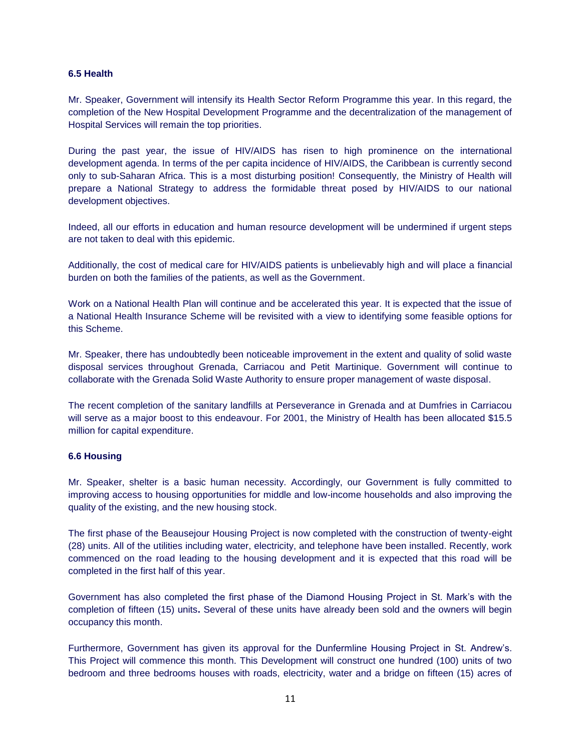## **6.5 Health**

Mr. Speaker, Government will intensify its Health Sector Reform Programme this year. In this regard, the completion of the New Hospital Development Programme and the decentralization of the management of Hospital Services will remain the top priorities.

During the past year, the issue of HIV/AIDS has risen to high prominence on the international development agenda. In terms of the per capita incidence of HIV/AIDS, the Caribbean is currently second only to sub-Saharan Africa. This is a most disturbing position! Consequently, the Ministry of Health will prepare a National Strategy to address the formidable threat posed by HIV/AIDS to our national development objectives.

Indeed, all our efforts in education and human resource development will be undermined if urgent steps are not taken to deal with this epidemic.

Additionally, the cost of medical care for HIV/AIDS patients is unbelievably high and will place a financial burden on both the families of the patients, as well as the Government.

Work on a National Health Plan will continue and be accelerated this year. It is expected that the issue of a National Health Insurance Scheme will be revisited with a view to identifying some feasible options for this Scheme.

Mr. Speaker, there has undoubtedly been noticeable improvement in the extent and quality of solid waste disposal services throughout Grenada, Carriacou and Petit Martinique. Government will continue to collaborate with the Grenada Solid Waste Authority to ensure proper management of waste disposal.

The recent completion of the sanitary landfills at Perseverance in Grenada and at Dumfries in Carriacou will serve as a major boost to this endeavour. For 2001, the Ministry of Health has been allocated \$15.5 million for capital expenditure.

#### **6.6 Housing**

Mr. Speaker, shelter is a basic human necessity. Accordingly, our Government is fully committed to improving access to housing opportunities for middle and low-income households and also improving the quality of the existing, and the new housing stock.

The first phase of the Beausejour Housing Project is now completed with the construction of twenty-eight (28) units. All of the utilities including water, electricity, and telephone have been installed. Recently, work commenced on the road leading to the housing development and it is expected that this road will be completed in the first half of this year.

Government has also completed the first phase of the Diamond Housing Project in St. Mark's with the completion of fifteen (15) units**.** Several of these units have already been sold and the owners will begin occupancy this month.

Furthermore, Government has given its approval for the Dunfermline Housing Project in St. Andrew's. This Project will commence this month. This Development will construct one hundred (100) units of two bedroom and three bedrooms houses with roads, electricity, water and a bridge on fifteen (15) acres of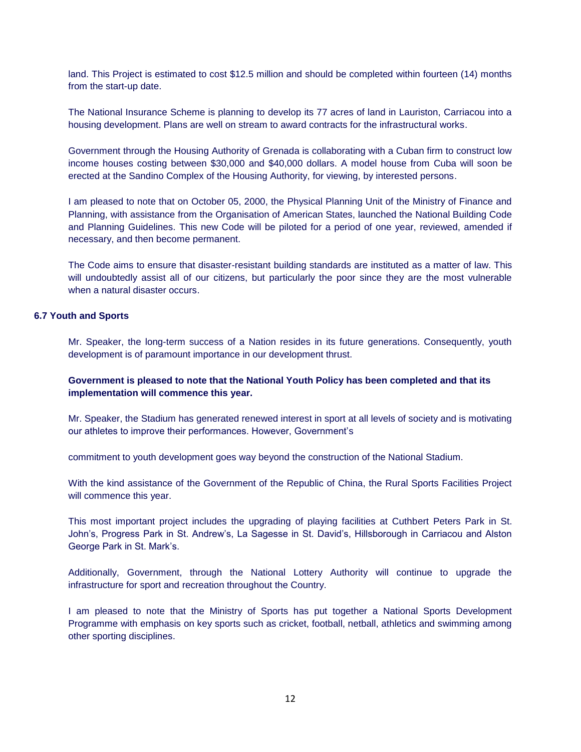land. This Project is estimated to cost \$12.5 million and should be completed within fourteen (14) months from the start-up date.

The National Insurance Scheme is planning to develop its 77 acres of land in Lauriston, Carriacou into a housing development. Plans are well on stream to award contracts for the infrastructural works.

Government through the Housing Authority of Grenada is collaborating with a Cuban firm to construct low income houses costing between \$30,000 and \$40,000 dollars. A model house from Cuba will soon be erected at the Sandino Complex of the Housing Authority, for viewing, by interested persons.

I am pleased to note that on October 05, 2000, the Physical Planning Unit of the Ministry of Finance and Planning, with assistance from the Organisation of American States, launched the National Building Code and Planning Guidelines. This new Code will be piloted for a period of one year, reviewed, amended if necessary, and then become permanent.

The Code aims to ensure that disaster-resistant building standards are instituted as a matter of law. This will undoubtedly assist all of our citizens, but particularly the poor since they are the most vulnerable when a natural disaster occurs.

#### **6.7 Youth and Sports**

Mr. Speaker, the long-term success of a Nation resides in its future generations. Consequently, youth development is of paramount importance in our development thrust.

## **Government is pleased to note that the National Youth Policy has been completed and that its implementation will commence this year.**

Mr. Speaker, the Stadium has generated renewed interest in sport at all levels of society and is motivating our athletes to improve their performances. However, Government's

commitment to youth development goes way beyond the construction of the National Stadium.

With the kind assistance of the Government of the Republic of China, the Rural Sports Facilities Project will commence this year.

This most important project includes the upgrading of playing facilities at Cuthbert Peters Park in St. John's, Progress Park in St. Andrew's, La Sagesse in St. David's, Hillsborough in Carriacou and Alston George Park in St. Mark's.

Additionally, Government, through the National Lottery Authority will continue to upgrade the infrastructure for sport and recreation throughout the Country.

I am pleased to note that the Ministry of Sports has put together a National Sports Development Programme with emphasis on key sports such as cricket, football, netball, athletics and swimming among other sporting disciplines.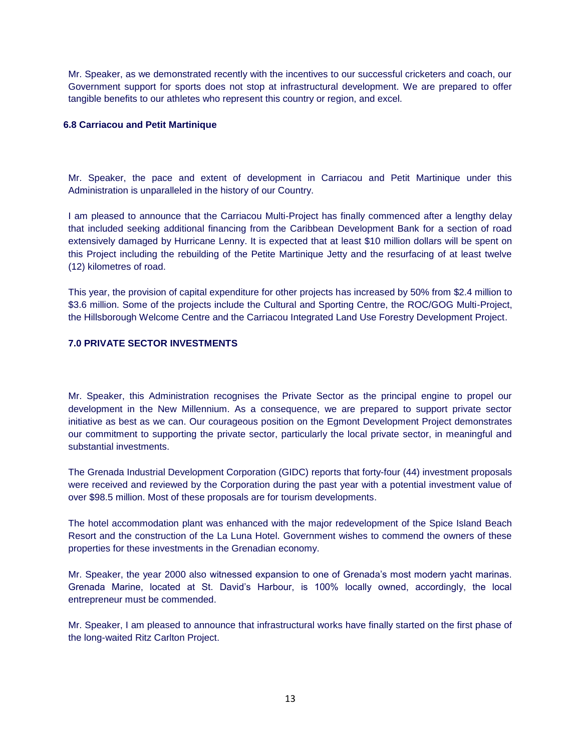Mr. Speaker, as we demonstrated recently with the incentives to our successful cricketers and coach, our Government support for sports does not stop at infrastructural development. We are prepared to offer tangible benefits to our athletes who represent this country or region, and excel.

## **6.8 Carriacou and Petit Martinique**

Mr. Speaker, the pace and extent of development in Carriacou and Petit Martinique under this Administration is unparalleled in the history of our Country.

I am pleased to announce that the Carriacou Multi-Project has finally commenced after a lengthy delay that included seeking additional financing from the Caribbean Development Bank for a section of road extensively damaged by Hurricane Lenny. It is expected that at least \$10 million dollars will be spent on this Project including the rebuilding of the Petite Martinique Jetty and the resurfacing of at least twelve (12) kilometres of road.

This year, the provision of capital expenditure for other projects has increased by 50% from \$2.4 million to \$3.6 million. Some of the projects include the Cultural and Sporting Centre, the ROC/GOG Multi-Project, the Hillsborough Welcome Centre and the Carriacou Integrated Land Use Forestry Development Project.

## **7.0 PRIVATE SECTOR INVESTMENTS**

Mr. Speaker, this Administration recognises the Private Sector as the principal engine to propel our development in the New Millennium. As a consequence, we are prepared to support private sector initiative as best as we can. Our courageous position on the Egmont Development Project demonstrates our commitment to supporting the private sector, particularly the local private sector, in meaningful and substantial investments.

The Grenada Industrial Development Corporation (GIDC) reports that forty-four (44) investment proposals were received and reviewed by the Corporation during the past year with a potential investment value of over \$98.5 million. Most of these proposals are for tourism developments.

The hotel accommodation plant was enhanced with the major redevelopment of the Spice Island Beach Resort and the construction of the La Luna Hotel. Government wishes to commend the owners of these properties for these investments in the Grenadian economy.

Mr. Speaker, the year 2000 also witnessed expansion to one of Grenada's most modern yacht marinas. Grenada Marine, located at St. David's Harbour, is 100% locally owned, accordingly, the local entrepreneur must be commended.

Mr. Speaker, I am pleased to announce that infrastructural works have finally started on the first phase of the long-waited Ritz Carlton Project.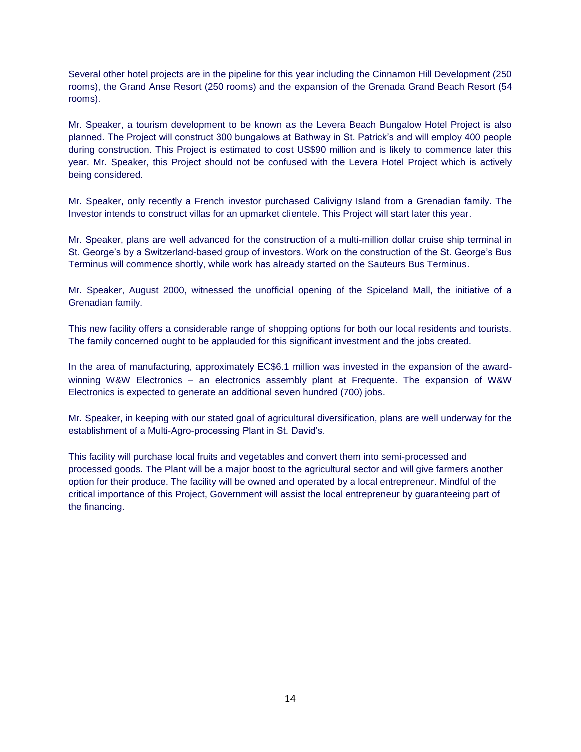Several other hotel projects are in the pipeline for this year including the Cinnamon Hill Development (250 rooms), the Grand Anse Resort (250 rooms) and the expansion of the Grenada Grand Beach Resort (54 rooms).

Mr. Speaker, a tourism development to be known as the Levera Beach Bungalow Hotel Project is also planned. The Project will construct 300 bungalows at Bathway in St. Patrick's and will employ 400 people during construction. This Project is estimated to cost US\$90 million and is likely to commence later this year. Mr. Speaker, this Project should not be confused with the Levera Hotel Project which is actively being considered.

Mr. Speaker, only recently a French investor purchased Calivigny Island from a Grenadian family. The Investor intends to construct villas for an upmarket clientele. This Project will start later this year.

Mr. Speaker, plans are well advanced for the construction of a multi-million dollar cruise ship terminal in St. George's by a Switzerland-based group of investors. Work on the construction of the St. George's Bus Terminus will commence shortly, while work has already started on the Sauteurs Bus Terminus.

Mr. Speaker, August 2000, witnessed the unofficial opening of the Spiceland Mall, the initiative of a Grenadian family.

This new facility offers a considerable range of shopping options for both our local residents and tourists. The family concerned ought to be applauded for this significant investment and the jobs created.

In the area of manufacturing, approximately EC\$6.1 million was invested in the expansion of the awardwinning W&W Electronics – an electronics assembly plant at Frequente. The expansion of W&W Electronics is expected to generate an additional seven hundred (700) jobs.

Mr. Speaker, in keeping with our stated goal of agricultural diversification, plans are well underway for the establishment of a Multi-Agro-processing Plant in St. David's.

This facility will purchase local fruits and vegetables and convert them into semi-processed and processed goods. The Plant will be a major boost to the agricultural sector and will give farmers another option for their produce. The facility will be owned and operated by a local entrepreneur. Mindful of the critical importance of this Project, Government will assist the local entrepreneur by guaranteeing part of the financing.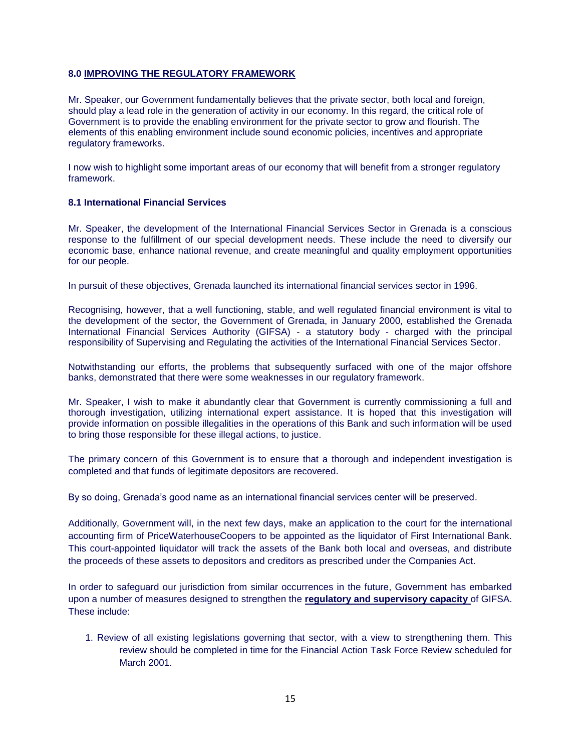## **8.0 IMPROVING THE REGULATORY FRAMEWORK**

Mr. Speaker, our Government fundamentally believes that the private sector, both local and foreign, should play a lead role in the generation of activity in our economy. In this regard, the critical role of Government is to provide the enabling environment for the private sector to grow and flourish. The elements of this enabling environment include sound economic policies, incentives and appropriate regulatory frameworks.

I now wish to highlight some important areas of our economy that will benefit from a stronger regulatory framework.

#### **8.1 International Financial Services**

Mr. Speaker, the development of the International Financial Services Sector in Grenada is a conscious response to the fulfillment of our special development needs. These include the need to diversify our economic base, enhance national revenue, and create meaningful and quality employment opportunities for our people.

In pursuit of these objectives, Grenada launched its international financial services sector in 1996.

Recognising, however, that a well functioning, stable, and well regulated financial environment is vital to the development of the sector, the Government of Grenada, in January 2000, established the Grenada International Financial Services Authority (GIFSA) - a statutory body - charged with the principal responsibility of Supervising and Regulating the activities of the International Financial Services Sector.

Notwithstanding our efforts, the problems that subsequently surfaced with one of the major offshore banks, demonstrated that there were some weaknesses in our regulatory framework.

Mr. Speaker, I wish to make it abundantly clear that Government is currently commissioning a full and thorough investigation, utilizing international expert assistance. It is hoped that this investigation will provide information on possible illegalities in the operations of this Bank and such information will be used to bring those responsible for these illegal actions, to justice.

The primary concern of this Government is to ensure that a thorough and independent investigation is completed and that funds of legitimate depositors are recovered.

By so doing, Grenada's good name as an international financial services center will be preserved.

Additionally, Government will, in the next few days, make an application to the court for the international accounting firm of PriceWaterhouseCoopers to be appointed as the liquidator of First International Bank. This court-appointed liquidator will track the assets of the Bank both local and overseas, and distribute the proceeds of these assets to depositors and creditors as prescribed under the Companies Act.

In order to safeguard our jurisdiction from similar occurrences in the future, Government has embarked upon a number of measures designed to strengthen the **regulatory and supervisory capacity** of GIFSA. These include:

1. Review of all existing legislations governing that sector, with a view to strengthening them. This review should be completed in time for the Financial Action Task Force Review scheduled for March 2001.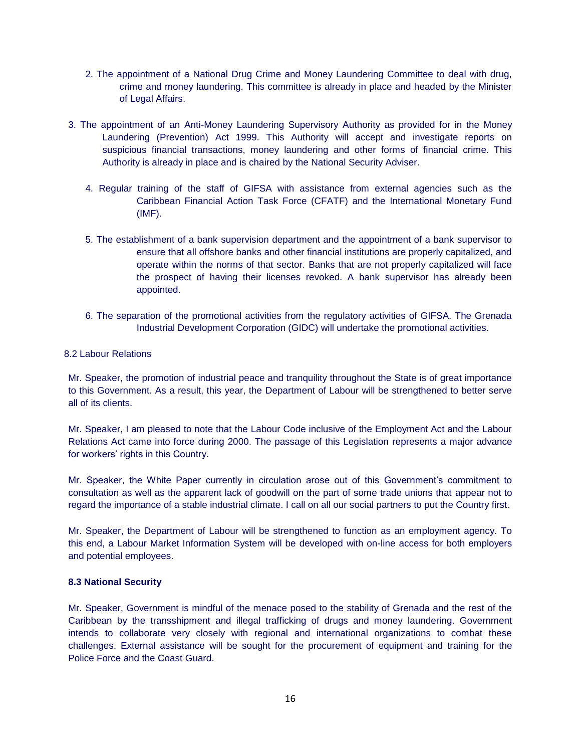- 2. The appointment of a National Drug Crime and Money Laundering Committee to deal with drug, crime and money laundering. This committee is already in place and headed by the Minister of Legal Affairs.
- 3. The appointment of an Anti-Money Laundering Supervisory Authority as provided for in the Money Laundering (Prevention) Act 1999. This Authority will accept and investigate reports on suspicious financial transactions, money laundering and other forms of financial crime. This Authority is already in place and is chaired by the National Security Adviser.
	- 4. Regular training of the staff of GIFSA with assistance from external agencies such as the Caribbean Financial Action Task Force (CFATF) and the International Monetary Fund (IMF).
	- 5. The establishment of a bank supervision department and the appointment of a bank supervisor to ensure that all offshore banks and other financial institutions are properly capitalized, and operate within the norms of that sector. Banks that are not properly capitalized will face the prospect of having their licenses revoked. A bank supervisor has already been appointed.
	- 6. The separation of the promotional activities from the regulatory activities of GIFSA. The Grenada Industrial Development Corporation (GIDC) will undertake the promotional activities.

#### 8.2 Labour Relations

Mr. Speaker, the promotion of industrial peace and tranquility throughout the State is of great importance to this Government. As a result, this year, the Department of Labour will be strengthened to better serve all of its clients.

Mr. Speaker, I am pleased to note that the Labour Code inclusive of the Employment Act and the Labour Relations Act came into force during 2000. The passage of this Legislation represents a major advance for workers' rights in this Country.

Mr. Speaker, the White Paper currently in circulation arose out of this Government's commitment to consultation as well as the apparent lack of goodwill on the part of some trade unions that appear not to regard the importance of a stable industrial climate. I call on all our social partners to put the Country first.

Mr. Speaker, the Department of Labour will be strengthened to function as an employment agency. To this end, a Labour Market Information System will be developed with on-line access for both employers and potential employees.

#### **8.3 National Security**

Mr. Speaker, Government is mindful of the menace posed to the stability of Grenada and the rest of the Caribbean by the transshipment and illegal trafficking of drugs and money laundering. Government intends to collaborate very closely with regional and international organizations to combat these challenges. External assistance will be sought for the procurement of equipment and training for the Police Force and the Coast Guard.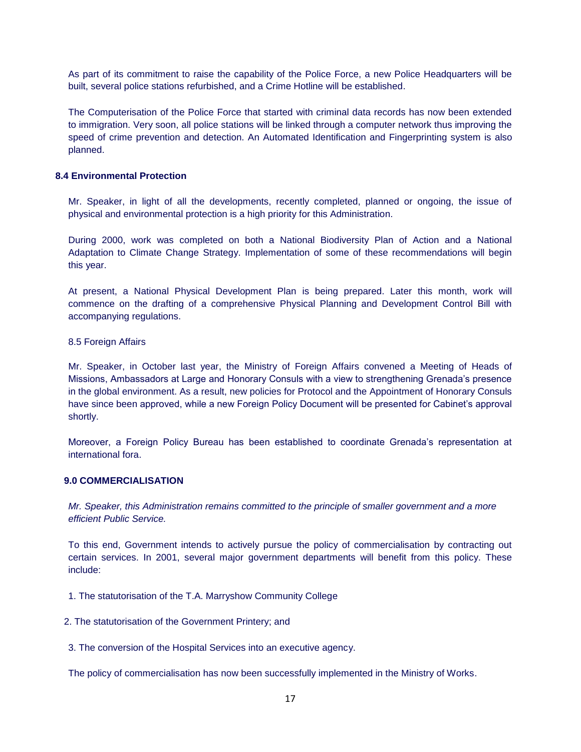As part of its commitment to raise the capability of the Police Force, a new Police Headquarters will be built, several police stations refurbished, and a Crime Hotline will be established.

The Computerisation of the Police Force that started with criminal data records has now been extended to immigration. Very soon, all police stations will be linked through a computer network thus improving the speed of crime prevention and detection. An Automated Identification and Fingerprinting system is also planned.

## **8.4 Environmental Protection**

Mr. Speaker, in light of all the developments, recently completed, planned or ongoing, the issue of physical and environmental protection is a high priority for this Administration.

During 2000, work was completed on both a National Biodiversity Plan of Action and a National Adaptation to Climate Change Strategy. Implementation of some of these recommendations will begin this year.

At present, a National Physical Development Plan is being prepared. Later this month, work will commence on the drafting of a comprehensive Physical Planning and Development Control Bill with accompanying regulations.

#### 8.5 Foreign Affairs

Mr. Speaker, in October last year, the Ministry of Foreign Affairs convened a Meeting of Heads of Missions, Ambassadors at Large and Honorary Consuls with a view to strengthening Grenada's presence in the global environment. As a result, new policies for Protocol and the Appointment of Honorary Consuls have since been approved, while a new Foreign Policy Document will be presented for Cabinet's approval shortly.

Moreover, a Foreign Policy Bureau has been established to coordinate Grenada's representation at international fora.

## **9.0 COMMERCIALISATION**

*Mr. Speaker, this Administration remains committed to the principle of smaller government and a more efficient Public Service.*

To this end, Government intends to actively pursue the policy of commercialisation by contracting out certain services. In 2001, several major government departments will benefit from this policy. These include:

- 1. The statutorisation of the T.A. Marryshow Community College
- 2. The statutorisation of the Government Printery; and
- 3. The conversion of the Hospital Services into an executive agency.

The policy of commercialisation has now been successfully implemented in the Ministry of Works.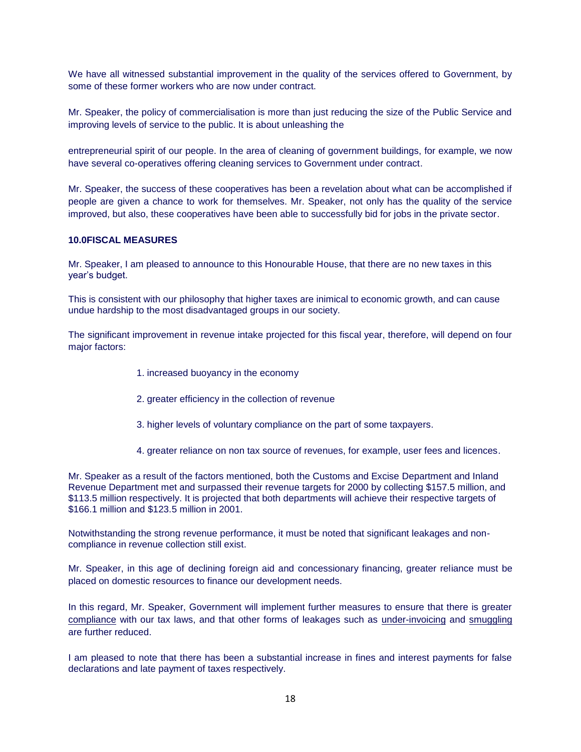We have all witnessed substantial improvement in the quality of the services offered to Government, by some of these former workers who are now under contract.

Mr. Speaker, the policy of commercialisation is more than just reducing the size of the Public Service and improving levels of service to the public. It is about unleashing the

entrepreneurial spirit of our people. In the area of cleaning of government buildings, for example, we now have several co-operatives offering cleaning services to Government under contract.

Mr. Speaker, the success of these cooperatives has been a revelation about what can be accomplished if people are given a chance to work for themselves. Mr. Speaker, not only has the quality of the service improved, but also, these cooperatives have been able to successfully bid for jobs in the private sector.

#### **10.0FISCAL MEASURES**

Mr. Speaker, I am pleased to announce to this Honourable House, that there are no new taxes in this year's budget.

This is consistent with our philosophy that higher taxes are inimical to economic growth, and can cause undue hardship to the most disadvantaged groups in our society.

The significant improvement in revenue intake projected for this fiscal year, therefore, will depend on four major factors:

- 1. increased buoyancy in the economy
- 2. greater efficiency in the collection of revenue
- 3. higher levels of voluntary compliance on the part of some taxpayers.
- 4. greater reliance on non tax source of revenues, for example, user fees and licences.

Mr. Speaker as a result of the factors mentioned, both the Customs and Excise Department and Inland Revenue Department met and surpassed their revenue targets for 2000 by collecting \$157.5 million, and \$113.5 million respectively. It is projected that both departments will achieve their respective targets of \$166.1 million and \$123.5 million in 2001.

Notwithstanding the strong revenue performance, it must be noted that significant leakages and noncompliance in revenue collection still exist.

Mr. Speaker, in this age of declining foreign aid and concessionary financing, greater reliance must be placed on domestic resources to finance our development needs.

In this regard, Mr. Speaker, Government will implement further measures to ensure that there is greater compliance with our tax laws, and that other forms of leakages such as under-invoicing and smuggling are further reduced.

I am pleased to note that there has been a substantial increase in fines and interest payments for false declarations and late payment of taxes respectively.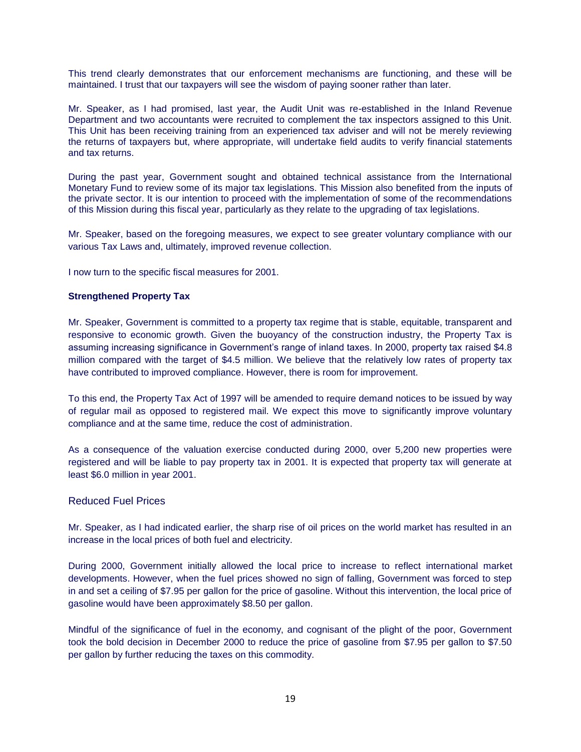This trend clearly demonstrates that our enforcement mechanisms are functioning, and these will be maintained. I trust that our taxpayers will see the wisdom of paying sooner rather than later.

Mr. Speaker, as I had promised, last year, the Audit Unit was re-established in the Inland Revenue Department and two accountants were recruited to complement the tax inspectors assigned to this Unit. This Unit has been receiving training from an experienced tax adviser and will not be merely reviewing the returns of taxpayers but, where appropriate, will undertake field audits to verify financial statements and tax returns.

During the past year, Government sought and obtained technical assistance from the International Monetary Fund to review some of its major tax legislations. This Mission also benefited from the inputs of the private sector. It is our intention to proceed with the implementation of some of the recommendations of this Mission during this fiscal year, particularly as they relate to the upgrading of tax legislations.

Mr. Speaker, based on the foregoing measures, we expect to see greater voluntary compliance with our various Tax Laws and, ultimately, improved revenue collection.

I now turn to the specific fiscal measures for 2001.

#### **Strengthened Property Tax**

Mr. Speaker, Government is committed to a property tax regime that is stable, equitable, transparent and responsive to economic growth. Given the buoyancy of the construction industry, the Property Tax is assuming increasing significance in Government's range of inland taxes. In 2000, property tax raised \$4.8 million compared with the target of \$4.5 million. We believe that the relatively low rates of property tax have contributed to improved compliance. However, there is room for improvement.

To this end, the Property Tax Act of 1997 will be amended to require demand notices to be issued by way of regular mail as opposed to registered mail. We expect this move to significantly improve voluntary compliance and at the same time, reduce the cost of administration.

As a consequence of the valuation exercise conducted during 2000, over 5,200 new properties were registered and will be liable to pay property tax in 2001. It is expected that property tax will generate at least \$6.0 million in year 2001.

#### Reduced Fuel Prices

Mr. Speaker, as I had indicated earlier, the sharp rise of oil prices on the world market has resulted in an increase in the local prices of both fuel and electricity.

During 2000, Government initially allowed the local price to increase to reflect international market developments. However, when the fuel prices showed no sign of falling, Government was forced to step in and set a ceiling of \$7.95 per gallon for the price of gasoline. Without this intervention, the local price of gasoline would have been approximately \$8.50 per gallon.

Mindful of the significance of fuel in the economy, and cognisant of the plight of the poor, Government took the bold decision in December 2000 to reduce the price of gasoline from \$7.95 per gallon to \$7.50 per gallon by further reducing the taxes on this commodity.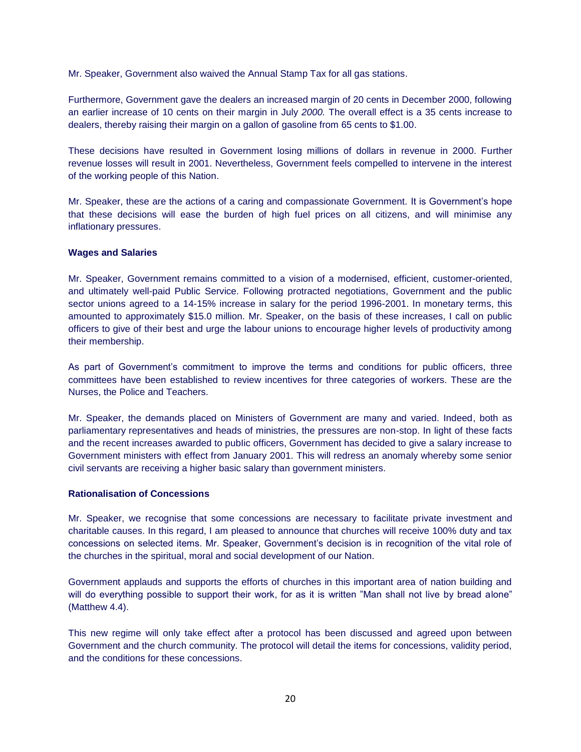Mr. Speaker, Government also waived the Annual Stamp Tax for all gas stations.

Furthermore, Government gave the dealers an increased margin of 20 cents in December 2000, following an earlier increase of 10 cents on their margin in July *2000.* The overall effect is a 35 cents increase to dealers, thereby raising their margin on a gallon of gasoline from 65 cents to \$1.00.

These decisions have resulted in Government losing millions of dollars in revenue in 2000. Further revenue losses will result in 2001. Nevertheless, Government feels compelled to intervene in the interest of the working people of this Nation.

Mr. Speaker, these are the actions of a caring and compassionate Government. It is Government's hope that these decisions will ease the burden of high fuel prices on all citizens, and will minimise any inflationary pressures.

## **Wages and Salaries**

Mr. Speaker, Government remains committed to a vision of a modernised, efficient, customer-oriented, and ultimately well-paid Public Service. Following protracted negotiations, Government and the public sector unions agreed to a 14-15% increase in salary for the period 1996-2001. In monetary terms, this amounted to approximately \$15.0 million. Mr. Speaker, on the basis of these increases, I call on public officers to give of their best and urge the labour unions to encourage higher levels of productivity among their membership.

As part of Government's commitment to improve the terms and conditions for public officers, three committees have been established to review incentives for three categories of workers. These are the Nurses, the Police and Teachers.

Mr. Speaker, the demands placed on Ministers of Government are many and varied. Indeed, both as parliamentary representatives and heads of ministries, the pressures are non-stop. In light of these facts and the recent increases awarded to pubIic officers, Government has decided to give a salary increase to Government ministers with effect from January 2001. This will redress an anomaly whereby some senior civil servants are receiving a higher basic salary than government ministers.

#### **Rationalisation of Concessions**

Mr. Speaker, we recognise that some concessions are necessary to facilitate private investment and charitable causes. In this regard, I am pleased to announce that churches will receive 100% duty and tax concessions on selected items. Mr. Speaker, Government's decision is in recognition of the vital role of the churches in the spiritual, moral and social development of our Nation.

Government applauds and supports the efforts of churches in this important area of nation building and will do everything possible to support their work, for as it is written "Man shall not live by bread alone" (Matthew 4.4).

This new regime will only take effect after a protocol has been discussed and agreed upon between Government and the church community. The protocol will detail the items for concessions, validity period, and the conditions for these concessions.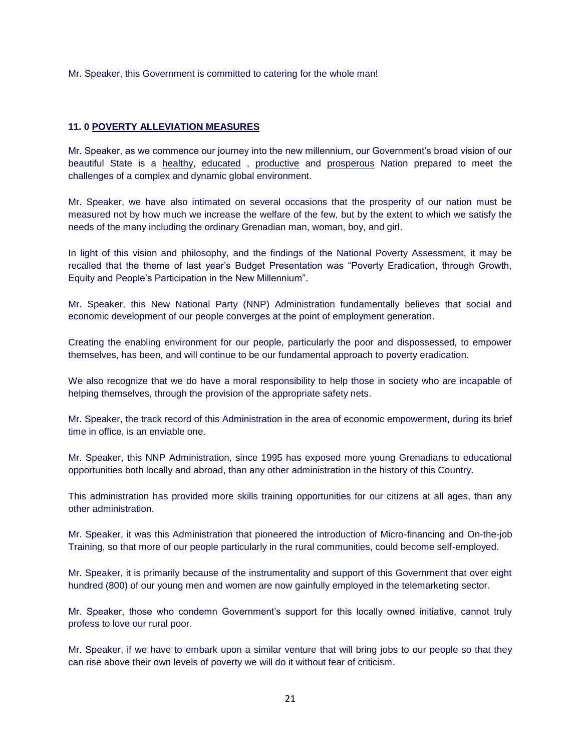Mr. Speaker, this Government is committed to catering for the whole man!

## **11. 0 POVERTY ALLEVIATION MEASURES**

Mr. Speaker, as we commence our journey into the new millennium, our Government's broad vision of our beautiful State is a healthy, educated , productive and prosperous Nation prepared to meet the challenges of a complex and dynamic global environment.

Mr. Speaker, we have also intimated on several occasions that the prosperity of our nation must be measured not by how much we increase the welfare of the few, but by the extent to which we satisfy the needs of the many including the ordinary Grenadian man, woman, boy, and girl.

In light of this vision and philosophy, and the findings of the National Poverty Assessment, it may be recalled that the theme of last year's Budget Presentation was "Poverty Eradication, through Growth, Equity and People's Participation in the New Millennium".

Mr. Speaker, this New National Party (NNP) Administration fundamentally believes that social and economic development of our people converges at the point of employment generation.

Creating the enabling environment for our people, particularly the poor and dispossessed, to empower themselves, has been, and will continue to be our fundamental approach to poverty eradication.

We also recognize that we do have a moral responsibility to help those in society who are incapable of helping themselves, through the provision of the appropriate safety nets.

Mr. Speaker, the track record of this Administration in the area of economic empowerment, during its brief time in office, is an enviable one.

Mr. Speaker, this NNP Administration, since 1995 has exposed more young Grenadians to educational opportunities both locally and abroad, than any other administration in the history of this Country.

This administration has provided more skills training opportunities for our citizens at all ages, than any other administration.

Mr. Speaker, it was this Administration that pioneered the introduction of Micro-financing and On-the-job Training, so that more of our people particularly in the rural communities, could become self-employed.

Mr. Speaker, it is primarily because of the instrumentality and support of this Government that over eight hundred (800) of our young men and women are now gainfully employed in the telemarketing sector.

Mr. Speaker, those who condemn Government's support for this locally owned initiative, cannot truly profess to love our rural poor.

Mr. Speaker, if we have to embark upon a similar venture that will bring jobs to our people so that they can rise above their own levels of poverty we will do it without fear of criticism.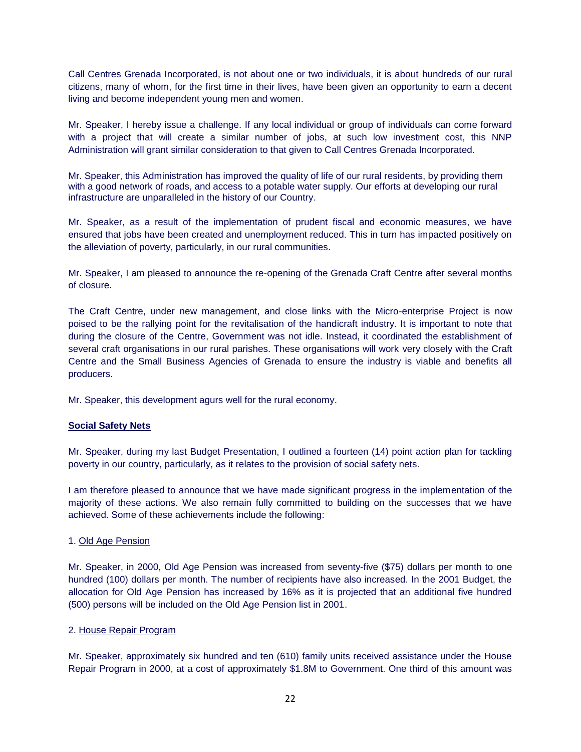Call Centres Grenada Incorporated, is not about one or two individuals, it is about hundreds of our rural citizens, many of whom, for the first time in their lives, have been given an opportunity to earn a decent living and become independent young men and women.

Mr. Speaker, I hereby issue a challenge. If any local individual or group of individuals can come forward with a project that will create a similar number of jobs, at such low investment cost, this NNP Administration will grant similar consideration to that given to Call Centres Grenada Incorporated.

Mr. Speaker, this Administration has improved the quality of life of our rural residents, by providing them with a good network of roads, and access to a potable water supply. Our efforts at developing our rural infrastructure are unparalleled in the history of our Country.

Mr. Speaker, as a result of the implementation of prudent fiscal and economic measures, we have ensured that jobs have been created and unemployment reduced. This in turn has impacted positively on the alleviation of poverty, particularly, in our rural communities.

Mr. Speaker, I am pleased to announce the re-opening of the Grenada Craft Centre after several months of closure.

The Craft Centre, under new management, and close links with the Micro-enterprise Project is now poised to be the rallying point for the revitalisation of the handicraft industry. It is important to note that during the closure of the Centre, Government was not idle. Instead, it coordinated the establishment of several craft organisations in our rural parishes. These organisations will work very closely with the Craft Centre and the Small Business Agencies of Grenada to ensure the industry is viable and benefits all producers.

Mr. Speaker, this development agurs well for the rural economy.

## **Social Safety Nets**

Mr. Speaker, during my last Budget Presentation, I outlined a fourteen (14) point action plan for tackling poverty in our country, particularly, as it relates to the provision of social safety nets.

I am therefore pleased to announce that we have made significant progress in the implementation of the majority of these actions. We also remain fully committed to building on the successes that we have achieved. Some of these achievements include the following:

#### 1. Old Age Pension

Mr. Speaker, in 2000, Old Age Pension was increased from seventy-five (\$75) dollars per month to one hundred (100) dollars per month. The number of recipients have also increased. In the 2001 Budget, the allocation for Old Age Pension has increased by 16% as it is projected that an additional five hundred (500) persons will be included on the Old Age Pension list in 2001.

#### 2. House Repair Program

Mr. Speaker, approximately six hundred and ten (610) family units received assistance under the House Repair Program in 2000, at a cost of approximately \$1.8M to Government. One third of this amount was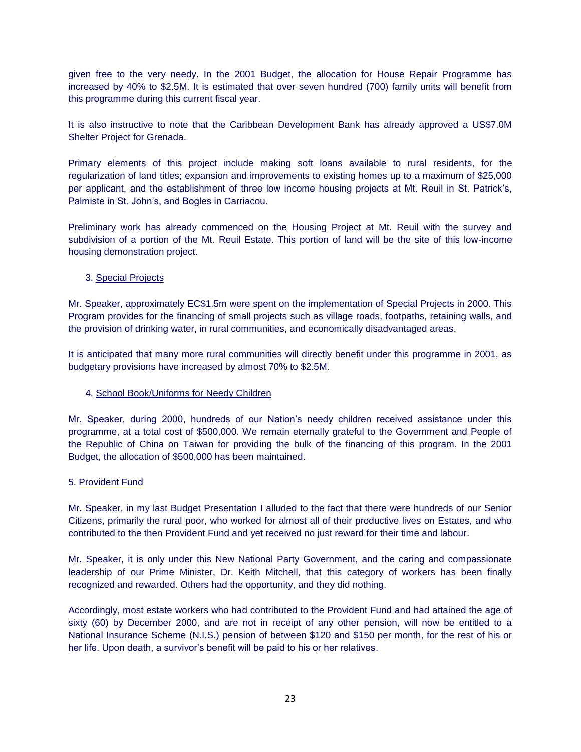given free to the very needy. In the 2001 Budget, the allocation for House Repair Programme has increased by 40% to \$2.5M. It is estimated that over seven hundred (700) family units will benefit from this programme during this current fiscal year.

It is also instructive to note that the Caribbean Development Bank has already approved a US\$7.0M Shelter Project for Grenada.

Primary elements of this project include making soft loans available to rural residents, for the regularization of land titles; expansion and improvements to existing homes up to a maximum of \$25,000 per applicant, and the establishment of three low income housing projects at Mt. Reuil in St. Patrick's, Palmiste in St. John's, and Bogles in Carriacou.

Preliminary work has already commenced on the Housing Project at Mt. Reuil with the survey and subdivision of a portion of the Mt. Reuil Estate. This portion of land will be the site of this low-income housing demonstration project.

## 3. Special Projects

Mr. Speaker, approximately EC\$1.5m were spent on the implementation of Special Projects in 2000. This Program provides for the financing of small projects such as village roads, footpaths, retaining walls, and the provision of drinking water, in rural communities, and economically disadvantaged areas.

It is anticipated that many more rural communities will directly benefit under this programme in 2001, as budgetary provisions have increased by almost 70% to \$2.5M.

#### 4. School Book/Uniforms for Needy Children

Mr. Speaker, during 2000, hundreds of our Nation's needy children received assistance under this programme, at a total cost of \$500,000. We remain eternally grateful to the Government and People of the Republic of China on Taiwan for providing the bulk of the financing of this program. In the 2001 Budget, the allocation of \$500,000 has been maintained.

#### 5. Provident Fund

Mr. Speaker, in my last Budget Presentation I alluded to the fact that there were hundreds of our Senior Citizens, primarily the rural poor, who worked for almost all of their productive lives on Estates, and who contributed to the then Provident Fund and yet received no just reward for their time and labour.

Mr. Speaker, it is only under this New National Party Government, and the caring and compassionate leadership of our Prime Minister, Dr. Keith Mitchell, that this category of workers has been finally recognized and rewarded. Others had the opportunity, and they did nothing.

Accordingly, most estate workers who had contributed to the Provident Fund and had attained the age of sixty (60) by December 2000, and are not in receipt of any other pension, will now be entitled to a National Insurance Scheme (N.I.S.) pension of between \$120 and \$150 per month, for the rest of his or her life. Upon death, a survivor's benefit will be paid to his or her relatives.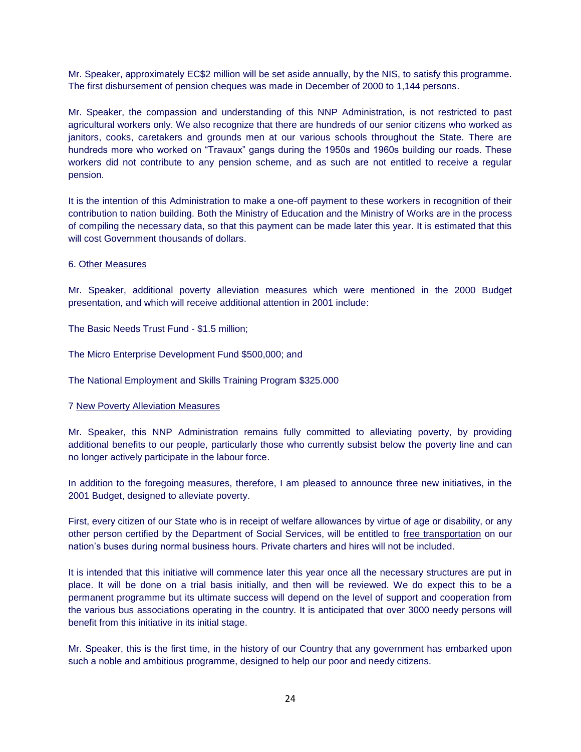Mr. Speaker, approximately EC\$2 million will be set aside annually, by the NIS, to satisfy this programme. The first disbursement of pension cheques was made in December of 2000 to 1,144 persons.

Mr. Speaker, the compassion and understanding of this NNP Administration, is not restricted to past agricultural workers only. We also recognize that there are hundreds of our senior citizens who worked as janitors, cooks, caretakers and grounds men at our various schools throughout the State. There are hundreds more who worked on "Travaux" gangs during the 1950s and 1960s building our roads. These workers did not contribute to any pension scheme, and as such are not entitled to receive a regular pension.

It is the intention of this Administration to make a one-off payment to these workers in recognition of their contribution to nation building. Both the Ministry of Education and the Ministry of Works are in the process of compiling the necessary data, so that this payment can be made later this year. It is estimated that this will cost Government thousands of dollars.

## 6. Other Measures

Mr. Speaker, additional poverty alleviation measures which were mentioned in the 2000 Budget presentation, and which will receive additional attention in 2001 include:

The Basic Needs Trust Fund - \$1.5 million;

The Micro Enterprise Development Fund \$500,000; and

The National Employment and Skills Training Program \$325.000

#### 7 New Poverty Alleviation Measures

Mr. Speaker, this NNP Administration remains fully committed to alleviating poverty, by providing additional benefits to our people, particularly those who currently subsist below the poverty line and can no longer actively participate in the labour force.

In addition to the foregoing measures, therefore, I am pleased to announce three new initiatives, in the 2001 Budget, designed to alleviate poverty.

First, every citizen of our State who is in receipt of welfare allowances by virtue of age or disability, or any other person certified by the Department of Social Services, will be entitled to free transportation on our nation's buses during normal business hours. Private charters and hires will not be included.

It is intended that this initiative will commence later this year once all the necessary structures are put in place. It will be done on a trial basis initially, and then will be reviewed. We do expect this to be a permanent programme but its ultimate success will depend on the level of support and cooperation from the various bus associations operating in the country. It is anticipated that over 3000 needy persons will benefit from this initiative in its initial stage.

Mr. Speaker, this is the first time, in the history of our Country that any government has embarked upon such a noble and ambitious programme, designed to help our poor and needy citizens.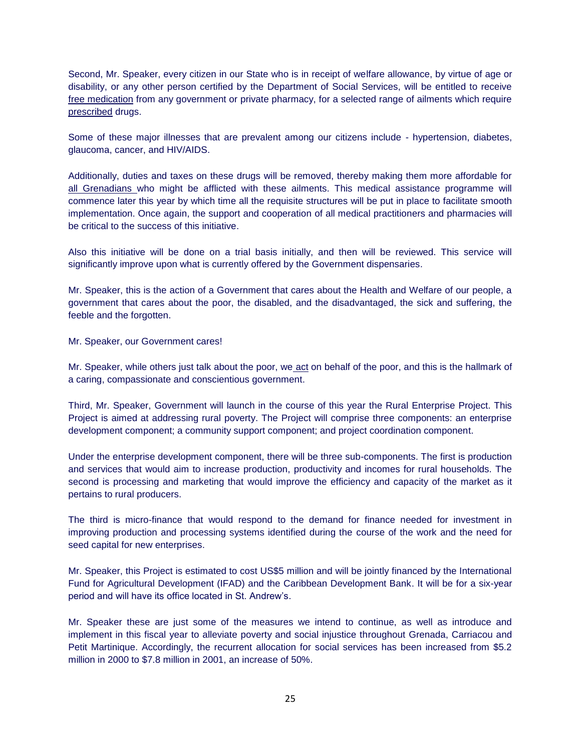Second, Mr. Speaker, every citizen in our State who is in receipt of welfare allowance, by virtue of age or disability, or any other person certified by the Department of Social Services, will be entitled to receive free medication from any government or private pharmacy, for a selected range of ailments which require prescribed drugs.

Some of these major illnesses that are prevalent among our citizens include - hypertension, diabetes, glaucoma, cancer, and HIV/AIDS.

Additionally, duties and taxes on these drugs will be removed, thereby making them more affordable for all Grenadians who might be afflicted with these ailments. This medical assistance programme will commence later this year by which time all the requisite structures will be put in place to facilitate smooth implementation. Once again, the support and cooperation of all medical practitioners and pharmacies will be critical to the success of this initiative.

Also this initiative will be done on a trial basis initially, and then will be reviewed. This service will significantly improve upon what is currently offered by the Government dispensaries.

Mr. Speaker, this is the action of a Government that cares about the Health and Welfare of our people, a government that cares about the poor, the disabled, and the disadvantaged, the sick and suffering, the feeble and the forgotten.

Mr. Speaker, our Government cares!

Mr. Speaker, while others just talk about the poor, we act on behalf of the poor, and this is the hallmark of a caring, compassionate and conscientious government.

Third, Mr. Speaker, Government will launch in the course of this year the Rural Enterprise Project. This Project is aimed at addressing rural poverty. The Project will comprise three components: an enterprise development component; a community support component; and project coordination component.

Under the enterprise development component, there will be three sub-components. The first is production and services that would aim to increase production, productivity and incomes for rural households. The second is processing and marketing that would improve the efficiency and capacity of the market as it pertains to rural producers.

The third is micro-finance that would respond to the demand for finance needed for investment in improving production and processing systems identified during the course of the work and the need for seed capital for new enterprises.

Mr. Speaker, this Project is estimated to cost US\$5 million and will be jointly financed by the International Fund for Agricultural Development (IFAD) and the Caribbean Development Bank. It will be for a six-year period and will have its office located in St. Andrew's.

Mr. Speaker these are just some of the measures we intend to continue, as well as introduce and implement in this fiscal year to alleviate poverty and social injustice throughout Grenada, Carriacou and Petit Martinique. Accordingly, the recurrent allocation for social services has been increased from \$5.2 million in 2000 to \$7.8 million in 2001, an increase of 50%.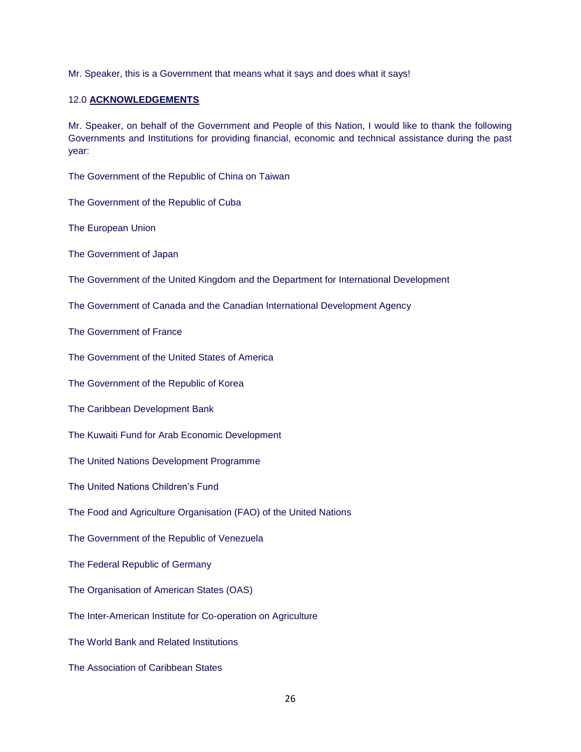Mr. Speaker, this is a Government that means what it says and does what it says!

#### 12.0 **ACKNOWLEDGEMENTS**

Mr. Speaker, on behalf of the Government and People of this Nation, I would like to thank the following Governments and Institutions for providing financial, economic and technical assistance during the past year:

The Government of the Republic of China on Taiwan

The Government of the Republic of Cuba

The European Union

The Government of Japan

The Government of the United Kingdom and the Department for International Development

The Government of Canada and the Canadian International Development Agency

The Government of France

The Government of the United States of America

The Government of the Republic of Korea

The Caribbean Development Bank

The Kuwaiti Fund for Arab Economic Development

The United Nations Development Programme

The United Nations Children's Fund

The Food and Agriculture Organisation (FAO) of the United Nations

The Government of the Republic of Venezuela

The Federal Republic of Germany

The Organisation of American States (OAS)

The Inter-American Institute for Co-operation on Agriculture

The World Bank and Related Institutions

The Association of Caribbean States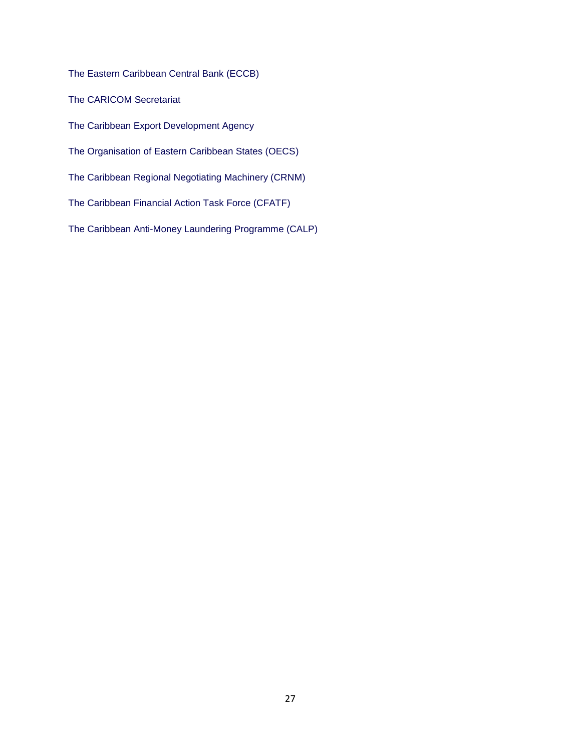The Eastern Caribbean Central Bank (ECCB)

The CARICOM Secretariat

The Caribbean Export Development Agency

The Organisation of Eastern Caribbean States (OECS)

The Caribbean Regional Negotiating Machinery (CRNM)

The Caribbean Financial Action Task Force (CFATF)

The Caribbean Anti-Money Laundering Programme (CALP)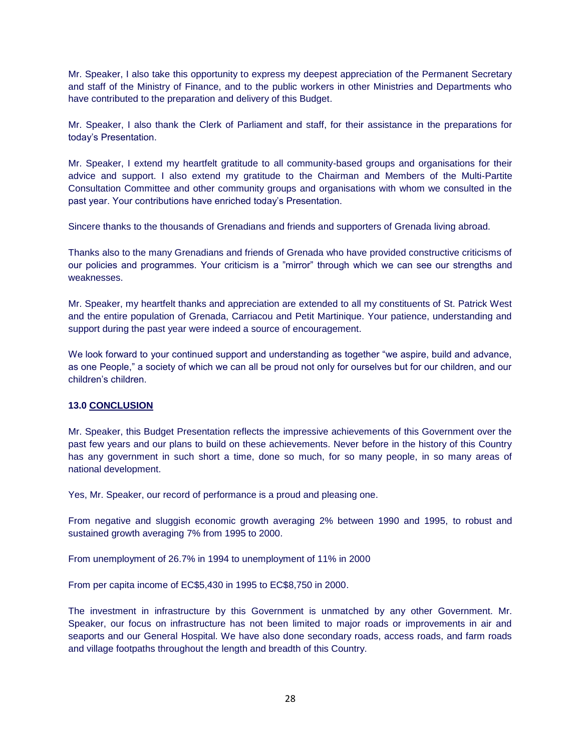Mr. Speaker, I also take this opportunity to express my deepest appreciation of the Permanent Secretary and staff of the Ministry of Finance, and to the public workers in other Ministries and Departments who have contributed to the preparation and delivery of this Budget.

Mr. Speaker, I also thank the Clerk of Parliament and staff, for their assistance in the preparations for today's Presentation.

Mr. Speaker, I extend my heartfelt gratitude to all community-based groups and organisations for their advice and support. I also extend my gratitude to the Chairman and Members of the Multi-Partite Consultation Committee and other community groups and organisations with whom we consulted in the past year. Your contributions have enriched today's Presentation.

Sincere thanks to the thousands of Grenadians and friends and supporters of Grenada living abroad.

Thanks also to the many Grenadians and friends of Grenada who have provided constructive criticisms of our policies and programmes. Your criticism is a "mirror" through which we can see our strengths and weaknesses.

Mr. Speaker, my heartfelt thanks and appreciation are extended to all my constituents of St. Patrick West and the entire population of Grenada, Carriacou and Petit Martinique. Your patience, understanding and support during the past year were indeed a source of encouragement.

We look forward to your continued support and understanding as together "we aspire, build and advance, as one People," a society of which we can all be proud not only for ourselves but for our children, and our children's children.

## **13.0 CONCLUSION**

Mr. Speaker, this Budget Presentation reflects the impressive achievements of this Government over the past few years and our plans to build on these achievements. Never before in the history of this Country has any government in such short a time, done so much, for so many people, in so many areas of national development.

Yes, Mr. Speaker, our record of performance is a proud and pleasing one.

From negative and sluggish economic growth averaging 2% between 1990 and 1995, to robust and sustained growth averaging 7% from 1995 to 2000.

From unemployment of 26.7% in 1994 to unemployment of 11% in 2000

From per capita income of EC\$5,430 in 1995 to EC\$8,750 in 2000.

The investment in infrastructure by this Government is unmatched by any other Government. Mr. Speaker, our focus on infrastructure has not been limited to major roads or improvements in air and seaports and our General Hospital. We have also done secondary roads, access roads, and farm roads and village footpaths throughout the length and breadth of this Country.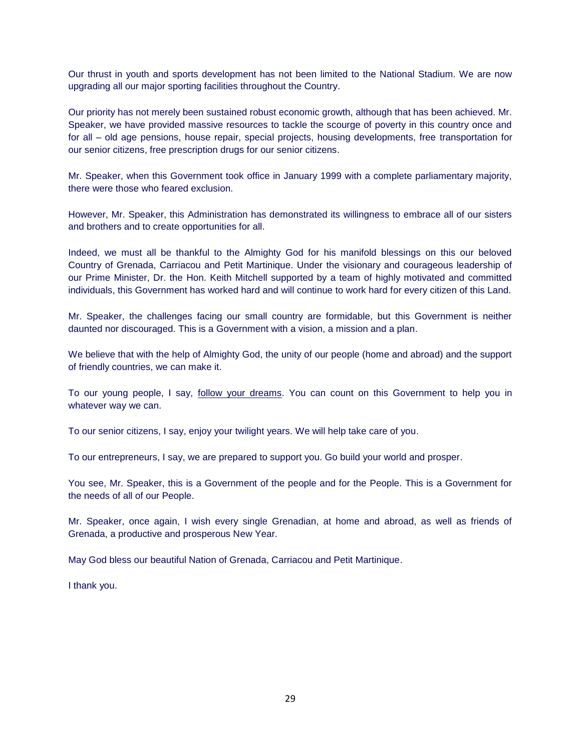Our thrust in youth and sports development has not been limited to the National Stadium. We are now upgrading all our major sporting facilities throughout the Country.

Our priority has not merely been sustained robust economic growth, although that has been achieved. Mr. Speaker, we have provided massive resources to tackle the scourge of poverty in this country once and for all – old age pensions, house repair, special projects, housing developments, free transportation for our senior citizens, free prescription drugs for our senior citizens.

Mr. Speaker, when this Government took office in January 1999 with a complete parliamentary majority, there were those who feared exclusion.

However, Mr. Speaker, this Administration has demonstrated its willingness to embrace all of our sisters and brothers and to create opportunities for all.

Indeed, we must all be thankful to the Almighty God for his manifold blessings on this our beloved Country of Grenada, Carriacou and Petit Martinique. Under the visionary and courageous leadership of our Prime Minister, Dr. the Hon. Keith Mitchell supported by a team of highly motivated and committed individuals, this Government has worked hard and will continue to work hard for every citizen of this Land.

Mr. Speaker, the challenges facing our small country are formidable, but this Government is neither daunted nor discouraged. This is a Government with a vision, a mission and a plan.

We believe that with the help of Almighty God, the unity of our people (home and abroad) and the support of friendly countries, we can make it.

To our young people, I say, follow your dreams. You can count on this Government to help you in whatever way we can.

To our senior citizens, I say, enjoy your twilight years. We will help take care of you.

To our entrepreneurs, I say, we are prepared to support you. Go build your world and prosper.

You see, Mr. Speaker, this is a Government of the people and for the People. This is a Government for the needs of all of our People.

Mr. Speaker, once again, I wish every single Grenadian, at home and abroad, as well as friends of Grenada, a productive and prosperous New Year.

May God bless our beautiful Nation of Grenada, Carriacou and Petit Martinique.

I thank you.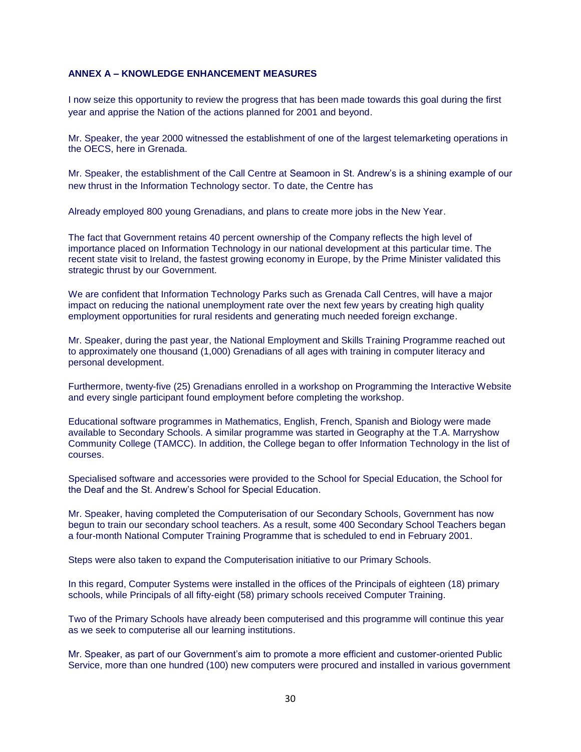## **ANNEX A – KNOWLEDGE ENHANCEMENT MEASURES**

I now seize this opportunity to review the progress that has been made towards this goal during the first year and apprise the Nation of the actions planned for 2001 and beyond.

Mr. Speaker, the year 2000 witnessed the establishment of one of the largest telemarketing operations in the OECS, here in Grenada.

Mr. Speaker, the establishment of the Call Centre at Seamoon in St. Andrew's is a shining example of our new thrust in the Information Technology sector. To date, the Centre has

Already employed 800 young Grenadians, and plans to create more jobs in the New Year.

The fact that Government retains 40 percent ownership of the Company reflects the high level of importance placed on Information Technology in our national development at this particular time. The recent state visit to Ireland, the fastest growing economy in Europe, by the Prime Minister validated this strategic thrust by our Government.

We are confident that Information Technology Parks such as Grenada Call Centres, will have a major impact on reducing the national unemployment rate over the next few years by creating high quality employment opportunities for rural residents and generating much needed foreign exchange.

Mr. Speaker, during the past year, the National Employment and Skills Training Programme reached out to approximately one thousand (1,000) Grenadians of all ages with training in computer literacy and personal development.

Furthermore, twenty-five (25) Grenadians enrolled in a workshop on Programming the Interactive Website and every single participant found employment before completing the workshop.

Educational software programmes in Mathematics, English, French, Spanish and Biology were made available to Secondary Schools. A similar programme was started in Geography at the T.A. Marryshow Community College (TAMCC). In addition, the College began to offer Information Technology in the list of courses.

Specialised software and accessories were provided to the School for Special Education, the School for the Deaf and the St. Andrew's School for Special Education.

Mr. Speaker, having completed the Computerisation of our Secondary Schools, Government has now begun to train our secondary school teachers. As a result, some 400 Secondary School Teachers began a four-month National Computer Training Programme that is scheduled to end in February 2001.

Steps were also taken to expand the Computerisation initiative to our Primary Schools.

In this regard, Computer Systems were installed in the offices of the Principals of eighteen (18) primary schools, while Principals of all fifty-eight (58) primary schools received Computer Training.

Two of the Primary Schools have already been computerised and this programme will continue this year as we seek to computerise all our learning institutions.

Mr. Speaker, as part of our Government's aim to promote a more efficient and customer-oriented Public Service, more than one hundred (100) new computers were procured and installed in various government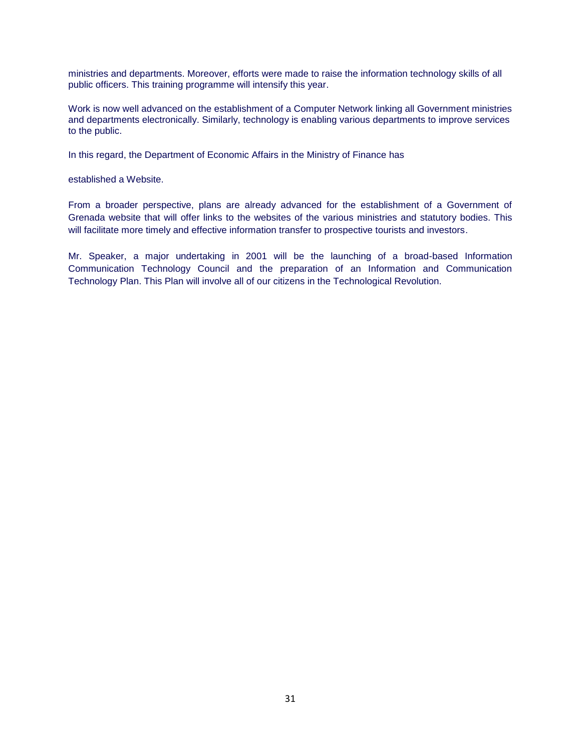ministries and departments. Moreover, efforts were made to raise the information technology skills of all public officers. This training programme will intensify this year.

Work is now well advanced on the establishment of a Computer Network linking all Government ministries and departments electronically. Similarly, technology is enabling various departments to improve services to the public.

In this regard, the Department of Economic Affairs in the Ministry of Finance has

established a Website.

From a broader perspective, plans are already advanced for the establishment of a Government of Grenada website that will offer links to the websites of the various ministries and statutory bodies. This will facilitate more timely and effective information transfer to prospective tourists and investors.

Mr. Speaker, a major undertaking in 2001 will be the launching of a broad-based Information Communication Technology Council and the preparation of an Information and Communication Technology Plan. This Plan will involve all of our citizens in the Technological Revolution.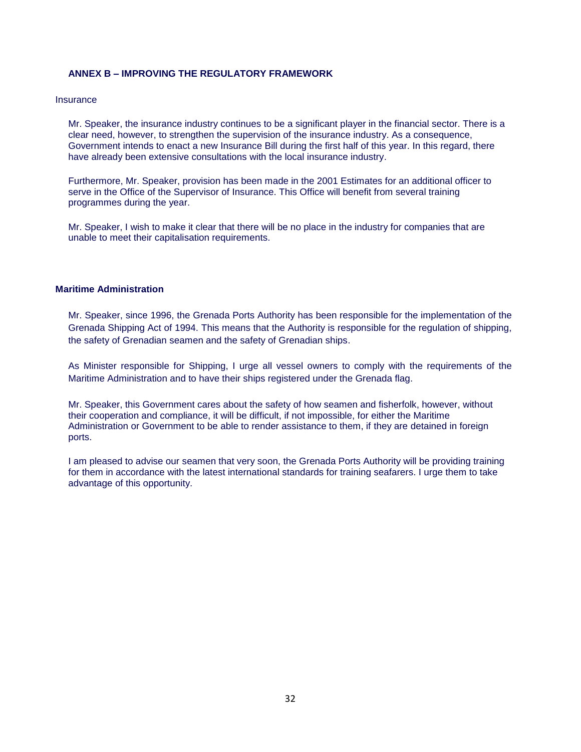## **ANNEX B – IMPROVING THE REGULATORY FRAMEWORK**

#### **Insurance**

Mr. Speaker, the insurance industry continues to be a significant player in the financial sector. There is a clear need, however, to strengthen the supervision of the insurance industry. As a consequence, Government intends to enact a new Insurance Bill during the first half of this year. In this regard, there have already been extensive consultations with the local insurance industry.

Furthermore, Mr. Speaker, provision has been made in the 2001 Estimates for an additional officer to serve in the Office of the Supervisor of Insurance. This Office will benefit from several training programmes during the year.

Mr. Speaker, I wish to make it clear that there will be no place in the industry for companies that are unable to meet their capitalisation requirements.

## **Maritime Administration**

Mr. Speaker, since 1996, the Grenada Ports Authority has been responsible for the implementation of the Grenada Shipping Act of 1994. This means that the Authority is responsible for the regulation of shipping, the safety of Grenadian seamen and the safety of Grenadian ships.

As Minister responsible for Shipping, I urge all vessel owners to comply with the requirements of the Maritime Administration and to have their ships registered under the Grenada flag.

Mr. Speaker, this Government cares about the safety of how seamen and fisherfolk, however, without their cooperation and compliance, it will be difficult, if not impossible, for either the Maritime Administration or Government to be able to render assistance to them, if they are detained in foreign ports.

I am pleased to advise our seamen that very soon, the Grenada Ports Authority will be providing training for them in accordance with the latest international standards for training seafarers. I urge them to take advantage of this opportunity.